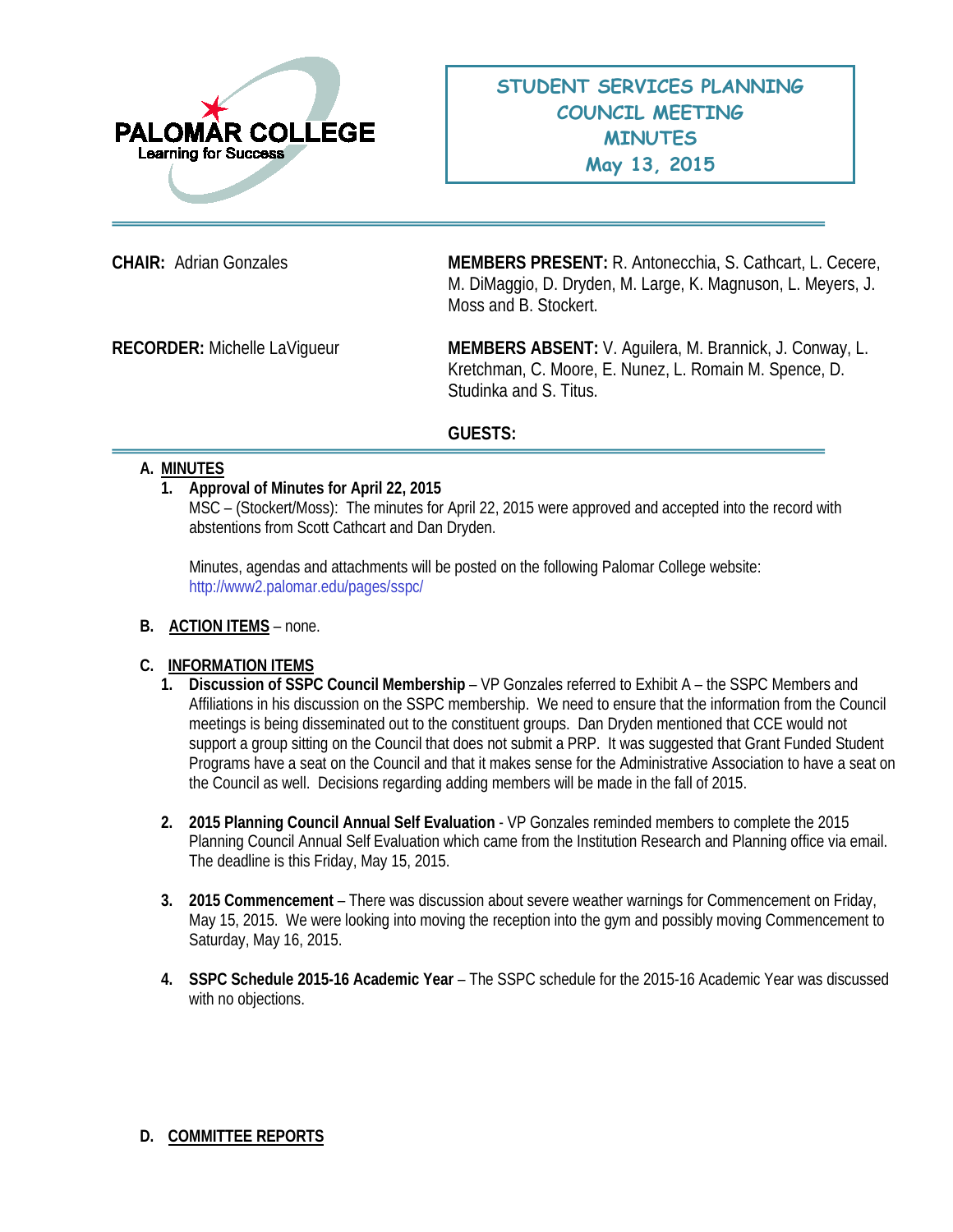

**CHAIR:** Adrian Gonzales **MEMBERS PRESENT:** R. Antonecchia, S. Cathcart, L. Cecere, M. DiMaggio, D. Dryden, M. Large, K. Magnuson, L. Meyers, J. Moss and B. Stockert.

**RECORDER:** Michelle LaVigueur **MEMBERS ABSENT:** V. Aguilera, M. Brannick, J. Conway, L. Kretchman, C. Moore, E. Nunez, L. Romain M. Spence, D. Studinka and S. Titus.

# **GUESTS:**

### **A. MINUTES**

### **1. Approval of Minutes for April 22, 2015**

MSC – (Stockert/Moss): The minutes for April 22, 2015 were approved and accepted into the record with abstentions from Scott Cathcart and Dan Dryden.

Minutes, agendas and attachments will be posted on the following Palomar College website: <http://www2.palomar.edu/pages/sspc/>

**B. ACTION ITEMS** – none.

# **C. INFORMATION ITEMS**

- **1. Discussion of SSPC Council Membership** VP Gonzales referred to Exhibit A the SSPC Members and Affiliations in his discussion on the SSPC membership. We need to ensure that the information from the Council meetings is being disseminated out to the constituent groups. Dan Dryden mentioned that CCE would not support a group sitting on the Council that does not submit a PRP. It was suggested that Grant Funded Student Programs have a seat on the Council and that it makes sense for the Administrative Association to have a seat on the Council as well. Decisions regarding adding members will be made in the fall of 2015.
- **2. 2015 Planning Council Annual Self Evaluation** VP Gonzales reminded members to complete the 2015 Planning Council Annual Self Evaluation which came from the Institution Research and Planning office via email. The deadline is this Friday, May 15, 2015.
- **3. 2015 Commencement**  There was discussion about severe weather warnings for Commencement on Friday, May 15, 2015. We were looking into moving the reception into the gym and possibly moving Commencement to Saturday, May 16, 2015.
- **4. SSPC Schedule 2015-16 Academic Year**  The SSPC schedule for the 2015-16 Academic Year was discussed with no objections.

# **D. COMMITTEE REPORTS**